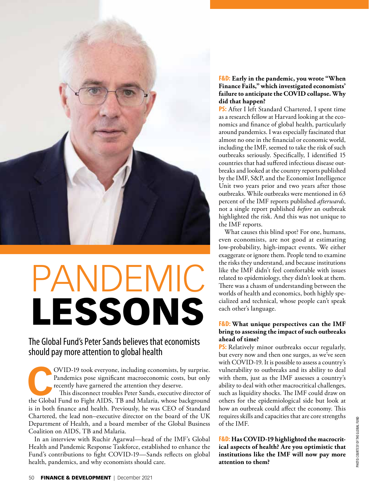

# PANDEMIC LESSONS

## The Global Fund's Peter Sands believes that economists should pay more attention to global health

OVID-19 took everyone, including economists, by surprise.<br>
Pandemics pose significant macroeconomic costs, but only<br>
recently have garnered the attention they deserve.<br>
This disconnect troubles Peter Sands, executive direc Pandemics pose significant macroeconomic costs, but only recently have garnered the attention they deserve.

This disconnect troubles Peter Sands, executive director of is in both finance and health. Previously, he was CEO of Standard Chartered, the lead non–executive director on the board of the UK Department of Health, and a board member of the Global Business Coalition on AIDS, TB and Malaria.

In an interview with Ruchir Agarwal—head of the IMF's Global Health and Pandemic Response Taskforce, established to enhance the Fund's contributions to fight COVID-19—Sands reflects on global health, pandemics, and why economists should care.

## **F&D: Early in the pandemic, you wrote "When Finance Fails," which investigated economists' failure to anticipate the COVID collapse. Why did that happen?**

**PS:** After I left Standard Chartered, I spent time as a research fellow at Harvard looking at the economics and finance of global health, particularly around pandemics. I was especially fascinated that almost no one in the financial or economic world, including the IMF, seemed to take the risk of such outbreaks seriously. Specifically, I identified 15 countries that had suffered infectious disease outbreaks and looked at the country reports published by the IMF, S&P, and the Economist Intelligence Unit two years prior and two years after those outbreaks. While outbreaks were mentioned in 63 percent of the IMF reports published *afterwards*, not a single report published *before* an outbreak highlighted the risk. And this was not unique to the IMF reports.

What causes this blind spot? For one, humans, even economists, are not good at estimating low-probability, high-impact events. We either exaggerate or ignore them. People tend to examine the risks they understand, and because institutions like the IMF didn't feel comfortable with issues related to epidemiology, they didn't look at them. There was a chasm of understanding between the worlds of health and economics, both highly specialized and technical, whose people can't speak each other's language.

## **F&D: What unique perspectives can the IMF bring to assessing the impact of such outbreaks ahead of time?**

**PS:** Relatively minor outbreaks occur regularly, but every now and then one surges, as we've seen with COVID-19. It is possible to assess a country's vulnerability to outbreaks and its ability to deal with them, just as the IMF assesses a country's ability to deal with other macrocritical challenges, such as liquidity shocks. The IMF could draw on others for the epidemiological side but look at how an outbreak could affect the economy. This requires skills and capacities that are core strengths of the IMF.

**F&D: Has COVID-19 highlighted the macrocritical aspects of health? Are you optimistic that institutions like the IMF will now pay more attention to them?**